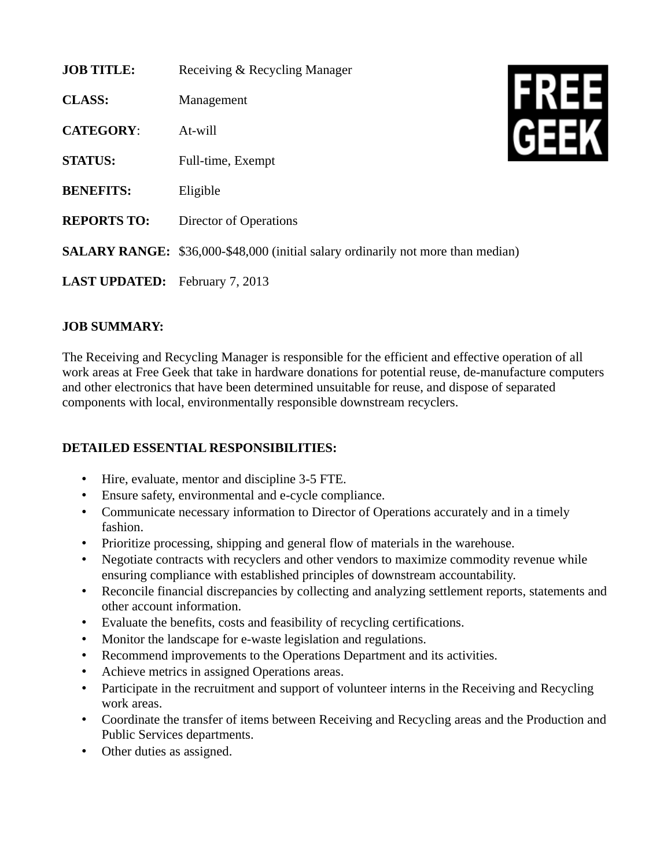| <b>JOB TITLE:</b>                     | Receiving & Recycling Manager                                                           |  |
|---------------------------------------|-----------------------------------------------------------------------------------------|--|
| <b>CLASS:</b>                         | Management                                                                              |  |
| <b>CATEGORY:</b>                      | At-will                                                                                 |  |
| <b>STATUS:</b>                        | Full-time, Exempt                                                                       |  |
| <b>BENEFITS:</b>                      | Eligible                                                                                |  |
| <b>REPORTS TO:</b>                    | <b>Director of Operations</b>                                                           |  |
|                                       | <b>SALARY RANGE:</b> \$36,000-\$48,000 (initial salary ordinarily not more than median) |  |
| <b>LAST UPDATED:</b> February 7, 2013 |                                                                                         |  |

## **JOB SUMMARY:**

The Receiving and Recycling Manager is responsible for the efficient and effective operation of all work areas at Free Geek that take in hardware donations for potential reuse, de-manufacture computers and other electronics that have been determined unsuitable for reuse, and dispose of separated components with local, environmentally responsible downstream recyclers.

## **DETAILED ESSENTIAL RESPONSIBILITIES:**

- Hire, evaluate, mentor and discipline 3-5 FTE.
- Ensure safety, environmental and e-cycle compliance.
- Communicate necessary information to Director of Operations accurately and in a timely fashion.
- Prioritize processing, shipping and general flow of materials in the warehouse.
- Negotiate contracts with recyclers and other vendors to maximize commodity revenue while ensuring compliance with established principles of downstream accountability.
- Reconcile financial discrepancies by collecting and analyzing settlement reports, statements and other account information.
- Evaluate the benefits, costs and feasibility of recycling certifications.
- Monitor the landscape for e-waste legislation and regulations.
- Recommend improvements to the Operations Department and its activities.
- Achieve metrics in assigned Operations areas.
- Participate in the recruitment and support of volunteer interns in the Receiving and Recycling work areas.
- Coordinate the transfer of items between Receiving and Recycling areas and the Production and Public Services departments.
- Other duties as assigned.